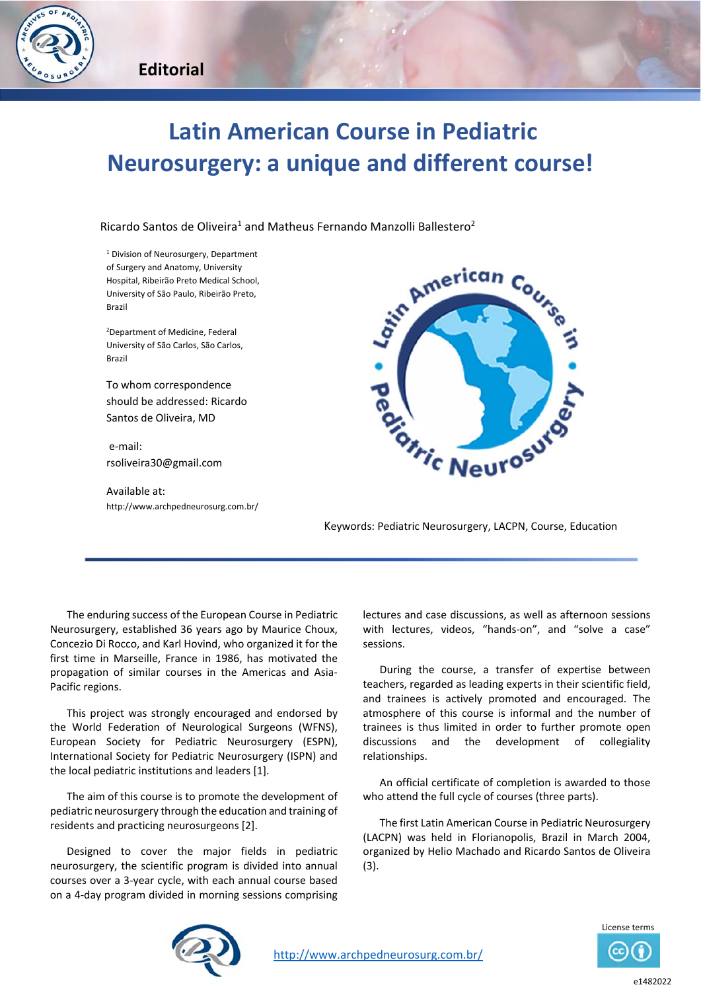

## **Latin American Course in Pediatric Neurosurgery: a unique and different course!**

Ricardo Santos de Oliveira<sup>1</sup> and Matheus Fernando Manzolli Ballestero<sup>2</sup>

<sup>1</sup> Division of Neurosurgery, Department of Surgery and Anatomy, University Hospital, Ribeirão Preto Medical School, University of São Paulo, Ribeirão Preto, Brazil

2 Department of Medicine, Federal University of São Carlos, São Carlos, Brazil

To whom correspondence should be addressed: Ricardo Santos de Oliveira, MD

 e‐mail: rsoliveira30@gmail.com

Available at: http://www.archpedneurosurg.com.br/



Keywords: Pediatric Neurosurgery, LACPN, Course, Education

The enduring success of the European Course in Pediatric Neurosurgery, established 36 years ago by Maurice Choux, Concezio Di Rocco, and Karl Hovind, who organized it for the first time in Marseille, France in 1986, has motivated the propagation of similar courses in the Americas and Asia‐ Pacific regions.

This project was strongly encouraged and endorsed by the World Federation of Neurological Surgeons (WFNS), European Society for Pediatric Neurosurgery (ESPN), International Society for Pediatric Neurosurgery (ISPN) and the local pediatric institutions and leaders [1].

The aim of this course is to promote the development of pediatric neurosurgery through the education and training of residents and practicing neurosurgeons [2].

Designed to cover the major fields in pediatric neurosurgery, the scientific program is divided into annual courses over a 3‐year cycle, with each annual course based on a 4‐day program divided in morning sessions comprising

lectures and case discussions, as well as afternoon sessions with lectures, videos, "hands-on", and "solve a case" sessions.

During the course, a transfer of expertise between teachers, regarded as leading experts in their scientific field, and trainees is actively promoted and encouraged. The atmosphere of this course is informal and the number of trainees is thus limited in order to further promote open discussions and the development of collegiality relationships.

An official certificate of completion is awarded to those who attend the full cycle of courses (three parts).

The first Latin American Course in Pediatric Neurosurgery (LACPN) was held in Florianopolis, Brazil in March 2004, organized by Helio Machado and Ricardo Santos de Oliveira (3).